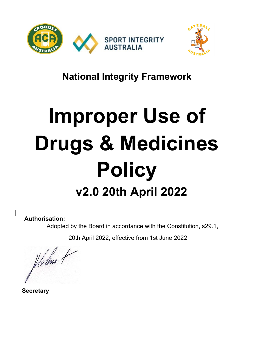



# **National Integrity Framework**

# **Improper Use of Drugs & Medicines Policy v2.0 20th April <sup>2022</sup>**

## **Authorisation:**

Adopted by the Board in accordance with the Constitution, s29.1,

20th April 2022, effective from 1st June 2022

Holme ?

 **Secretary**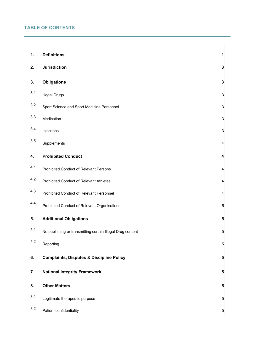### **TABLE OF CONTENTS**

| 1.      | <b>Definitions</b>                                         | 1                         |
|---------|------------------------------------------------------------|---------------------------|
|         |                                                            |                           |
| 2.      | <b>Jurisdiction</b>                                        | 3                         |
| 3.      | <b>Obligations</b>                                         | 3                         |
| 3.1     | <b>Illegal Drugs</b>                                       | 3                         |
| $3.2\,$ | Sport Science and Sport Medicine Personnel                 | 3                         |
| 3.3     | Medication                                                 | $\ensuremath{\mathsf{3}}$ |
| 3.4     | Injections                                                 | 3                         |
| 3.5     | Supplements                                                | $\overline{4}$            |
| 4.      | <b>Prohibited Conduct</b>                                  | 4                         |
| 4.1     | Prohibited Conduct of Relevant Persons                     | $\overline{4}$            |
| 4.2     | Prohibited Conduct of Relevant Athletes                    | $\overline{4}$            |
| 4.3     | Prohibited Conduct of Relevant Personnel                   | $\overline{\mathbf{4}}$   |
| 4.4     | Prohibited Conduct of Relevant Organisations               | 5                         |
| 5.      | <b>Additional Obligations</b>                              | 5                         |
| 5.1     | No publishing or transmitting certain Illegal Drug content | 5                         |
| 5.2     | Reporting                                                  | $\mathbf 5$               |
| 6.      | <b>Complaints, Disputes &amp; Discipline Policy</b>        | 5                         |
| 7.      | <b>National Integrity Framework</b>                        | 5                         |
| 8.      | <b>Other Matters</b>                                       | 5                         |
| 8.1     | Legitimate therapeutic purpose                             | 5                         |
| 8.2     | Patient confidentiality                                    | $\mathbf 5$               |

<u> 1980 - Johann Stoff, deutscher Stoff, der Stoff, der Stoff, der Stoff, der Stoff, der Stoff, der Stoff, der S</u>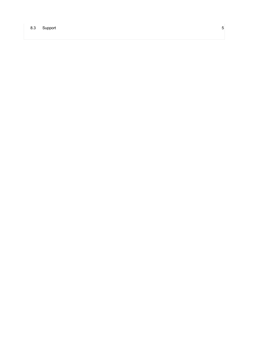#### 8.3 Support 5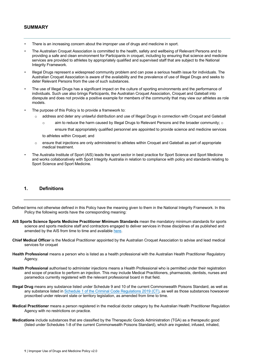#### **SUMMARY**

- There is an increasing concern about the improper use of drugs and medicine in sport.
- The Australian Croquet Association is committed to the health, safety and wellbeing of Relevant Persons and to providing a safe and clean environment for Participants in croquet, including by ensuring that science and medicine services are provided to athletes by appropriately qualified and supervised staff that are subject to the National Integrity Framework.
- Illegal Drugs represent a widespread community problem and can pose a serious health issue for individuals. The Australian Croquet Association is aware of the availability and the prevalence of use of Illegal Drugs and seeks to deter Relevant Persons from the use of such substances.
- The use of Illegal Drugs has a significant impact on the culture of sporting environments and the performance of individuals. Such use also brings Participants, the Australian Croquet Association, Croquet and Gateball into disrepute and does not provide a positive example for members of the community that may view our athletes as role models.
- The purpose of this Policy is to provide a framework to:
	- o address and deter any unlawful distribution and use of Illegal Drugs in connection with Croquet and Gateball
		- $\circ$  aim to reduce the harm caused by Illegal Drugs to Relevant Persons and the broader community;  $\circ$

ensure that appropriately qualified personnel are appointed to provide science and medicine services to athletes within Croquet; and

- o ensure that injections are only administered to athletes within Croquet and Gateball as part of appropriate medical treatment.
- The Australia Institute of Sport (AIS) leads the sport sector in best practice for Sport Science and Sport Medicine and works collaboratively with Sport Integrity Australia in relation to compliance with policy and standards relating to Sport Science and Sport Medicine.

#### **1. Definitions**

Defined terms not otherwise defined in this Policy have the meaning given to them in the National Integrity Framework. In this Policy the following words have the corresponding meaning:

- **AIS Sports Science Sports Medicine Practitioner Minimum Standards** mean the mandatory minimum standards for sports science and sports medicine staff and contractors engaged to deliver services in those disciplines of as published and amended by the AIS from time to time and available here.
- **Chief Medical Officer** is the Medical Practitioner appointed by the Australian Croquet Association to advise and lead medical services for croquet
- **Health Professional** means a person who is listed as a health professional with the Australian Health Practitioner Regulatory Agency.
- **Health Professional** authorised to administer injections means a Health Professional who is permitted under their registration and scope of practice to perform an injection. This may include Medical Practitioners, pharmacists, dentists, nurses and paramedics currently registered with the relevant professional board in that field.
- **Illegal Drug** means any substance listed under Schedule 9 and 10 of the current Commonwealth Poisons Standard, as well as any substance listed in Schedule 1 of the Criminal Code Regulations 2019 (CT), as well as those substances howsoever proscribed under relevant state or territory legislation, as amended from time to time.
- **Medical Practitioner** means a person registered in the medical doctor category by the Australian Health Practitioner Regulation Agency with no restrictions on practice.
- **Medications** include substances that are classified by the Therapeutic Goods Administration (TGA) as a therapeutic good (listed under Schedules 1-8 of the current Commonwealth Poisons Standard), which are ingested, infused, inhaled,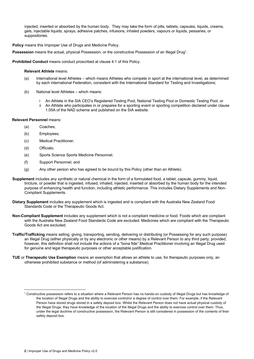injected, inserted or absorbed by the human body. They may take the form of pills, tablets, capsules, liquids, creams, gels, injectable liquids, sprays, adhesive patches, infusions, inhaled powders, vapours or liquids, pessaries, or suppositories.

**Policy** means this Improper Use of Drugs and Medicine Policy.

**Possession** means the actual, physical Possession, or the constructive Possession of an Illegal Drug1.

**Prohibited Conduct** means conduct proscribed at clause 4.1 of this Policy.

#### **Relevant Athlete** means:

- (a) International level Athletes which means Athletes who compete in sport at the international level, as determined by each international Federation, consistent with the International Standard for Testing and Investigations;
- (b) National level Athletes which means:
	- i An Athlete in the SIA CEO's Registered Testing Pool, National Testing Pool or Domestic Testing Pool; or
	- ii An Athlete who participates in or prepares for a sporting event or sporting competition declared under clause 1.05A of the NAD scheme and published on the SIA website.

#### **Relevant Personnel** means:

- (a) Coaches;
- (b) Employees;
- (c) Medical Practitioner;
- (d) Officials;
- (e) Sports Science Sports Medicine Personnel;
- (f) Support Personnel; and
- (g) Any other person who has agreed to be bound by this Policy (other than an Athlete).
- **Supplement** includes any synthetic or natural chemical in the form of a formulated food, a tablet, capsule, gummy, liquid, tincture, or powder that is ingested, infused, inhaled, injected, inserted or absorbed by the human body for the intended purpose of enhancing health and function, including athletic performance. This includes Dietary Supplements and Non-Compliant Supplements.
- **Dietary Supplement** includes any supplement which is ingested and is compliant with the Australia New Zealand Food Standards Code or the Therapeutic Goods Act.
- **Non-Compliant Supplement** includes any supplement which is not a compliant medicine or food. Foods which are compliant with the Australia New Zealand Food Standards Code are excluded. Medicines which are compliant with the Therapeutic Goods Act are excluded.
- **Traffic/Trafficking** means selling, giving, transporting, sending, delivering or distributing (or Possessing for any such purpose) an Illegal Drug (either physically or by any electronic or other means) by a Relevant Person to any third party; provided, however, this definition shall not include the actions of a "bona fide" Medical Practitioner involving an Illegal Drug used for genuine and legal therapeutic purposes or other acceptable justification.
- **TUE** or **Therapeutic Use Exemption** means an exemption that allows an athlete to use, for therapeutic purposes only, an otherwise prohibited substance or method (of administering a substance).

<sup>1</sup> Constructive possession refers to a situation where a Relevant Person has no hands-on custody of Illegal Drugs but has knowledge of the location of Illegal Drugs and the ability to exercise control/or a degree of control over them. For example, if the Relevant Person have stored drugs stored in a safety deposit box. Whilst the Relevant Person does not have actual physical custody of the Illegal Drugs, they have knowledge of the location of the Illegal Drugs and the ability to exercise control over them. Thus, under the legal doctrine of constructive possession, the Relevant Person is still considered in possession of the contents of their safety deposit box.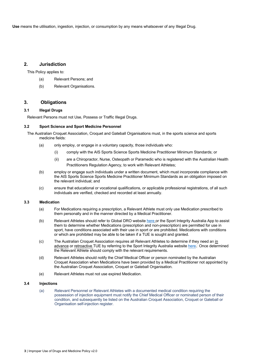**Use** means the utilisation, ingestion, injection, or consumption by any means whatsoever of any Illegal Drug.

#### **2. Jurisdiction**

This Policy applies to:

- (a) Relevant Persons; and
- (b) Relevant Organisations.

#### **3. Obligations**

#### **3.1 Illegal Drugs**

Relevant Persons must not Use, Possess or Traffic Illegal Drugs.

#### **3.2 Sport Science and Sport Medicine Personnel**

The Australian Croquet Association, Croquet and Gateball Organisations must, in the sports science and sports medicine fields:

- (a) only employ, or engage in a voluntary capacity, those individuals who:
	- (i) comply with the AIS Sports Science Sports Medicine Practitioner Minimum Standards; or
	- (ii) are a Chiropractor, Nurse, Osteopath or Paramedic who is registered with the Australian Health Practitioners Regulation Agency, to work with Relevant Athletes;
- (b) employ or engage such individuals under a written document, which must incorporate compliance with the AIS Sports Science Sports Medicine Practitioner Minimum Standards as an obligation imposed on the relevant individual; and
- (c) ensure that educational or vocational qualifications, or applicable professional registrations, of all such individuals are verified, checked and recorded at least annually.

#### **3.3 Medication**

- (a) For Medications requiring a prescription, a Relevant Athlete must only use Medication prescribed to them personally and in the manner directed by a Medical Practitioner.
- (b) Relevant Athletes should refer to Global DRO website here or the Sport Integrity Australia App to assist them to determine whether Medications (prescription and non-prescription) are permitted for use in sport, have conditions associated with their use in sport or are prohibited. Medications with conditions or which are prohibited may be able to be taken if a TUE is sought and granted.
- (c) The Australian Croquet Association requires all Relevant Athletes to determine if they need an in advance or retroactive TUE by referring to the Sport Integrity Australia website here. Once determined the Relevant Athlete should comply with the relevant requirements.
- (d) Relevant Athletes should notify the Chief Medical Officer or person nominated by the Australian Croquet Association when Medications have been provided by a Medical Practitioner not appointed by the Australian Croquet Association, Croquet or Gateball Organisation.
- (e) Relevant Athletes must not use expired Medication.

#### **3.4 Injections**

(a) Relevant Personnel or Relevant Athletes with a documented medical condition requiring the possession of injection equipment must notify the Chief Medical Officer or nominated person of their condition, and subsequently be listed on the Australian Croquet Association, Croquet or Gateball or Organisation self-injection register.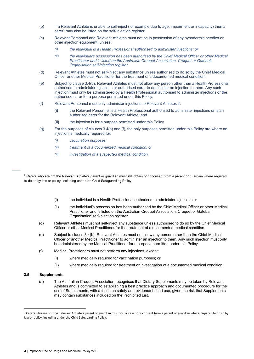- (b) If a Relevant Athlete is unable to self-inject (for example due to age, impairment or incapacity) then a carer<sup>1</sup> may also be listed on the self-injection register.
- (c) Relevant Personnel and Relevant Athletes must not be in possession of any hypodermic needles or other injection equipment, unless:
	- *(i) the individual is a Health Professional authorised to administer injections; or*
	- *(ii) the individual's possession has been authorised by the Chief Medical Officer or other Medical Practitioner and is listed on the Australian Croquet Association, Croquet or Gateball Organisation self-injection register*
- (d) Relevant Athletes must not self-inject any substance unless authorised to do so by the Chief Medical Officer or other Medical Practitioner for the treatment of a documented medical condition.
- (e) Subject to clause 3.4(b), Relevant Athletes must not allow any person other than a Health Professional authorised to administer injections or authorised carer to administer an injection to them. Any such injection must only be administered by a Health Professional authorised to administer injections or the authorised carer for a purpose permitted under this Policy.
- (f) Relevant Personnel must only administer injections to Relevant Athletes if:
	- **(i)** the Relevant Personnel is a Health Professional authorised to administer injections or is an authorised carer for the Relevant Athlete; and
	- **(ii)** the injection is for a purpose permitted under this Policy.
- (g) For the purposes of clauses 3.4(e) and (f), the only purposes permitted under this Policy are where an injection is medically required for:
	- *(i) vaccination purposes;*
	- *(ii) treatment of a documented medical condition; or*
	- *(iii) investigation of a suspected medical condition.*

<sup>2</sup> Carers who are not the Relevant Athlete's parent or quardian must still obtain prior consent from a parent or quardian where required to do so by law or policy, including under the Child Safeguarding Policy.

- (i) the individual is a Health Professional authorised to administer injections or
- (ii) the individual's possession has been authorised by the Chief Medical Officer or other Medical Practitioner and is listed on the Australian Croquet Association, Croquet or Gateball Organisation self-injection register.
- (d) Relevant Athletes must not self-inject any substance unless authorised to do so by the Chief Medical Officer or other Medical Practitioner for the treatment of a documented medical condition.
- (e) Subject to clause 3.4(b), Relevant Athletes must not allow any person other than the Chief Medical Officer or another Medical Practitioner to administer an injection to them. Any such injection must only be administered by the Medical Practitioner for a purpose permitted under this Policy.
- (f) Medical Practitioners must not perform any injections, except:
	- (i) where medically required for vaccination purposes; or
	- (ii) where medically required for treatment or investigation of a documented medical condition.

#### **3.5 Supplements**

 $\overline{\phantom{a}}$ 

(a) The Australian Croquet Association recognises that Dietary Supplements may be taken by Relevant Athletes and is committed to establishing a best practice approach and documented procedure for the use of Supplements, with a focus on safety and evidence-based use, given the risk that Supplements may contain substances included on the Prohibited List.

<sup>&</sup>lt;sup>1</sup> Carers who are not the Relevant Athlete's parent or guardian must still obtain prior consent from a parent or guardian where required to do so by law or policy, including under the Child Safeguarding Policy.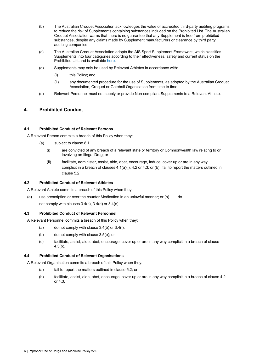- (b) The Australian Croquet Association acknowledges the value of accredited third-party auditing programs to reduce the risk of Supplements containing substances included on the Prohibited List. The Australian Croquet Association warns that there is no guarantee that any Supplement is free from prohibited substances, despite any claims made by Supplement manufacturers or clearance by third party auditing companies
- (c) The Australian Croquet Association adopts the AIS Sport Supplement Framework, which classifies Supplements into four categories according to their effectiveness, safety and current status on the Prohibited List and is available here.
- (d) Supplements may only be used by Relevant Athletes in accordance with:
	- (i) this Policy; and
	- (ii) any documented procedure for the use of Supplements, as adopted by the Australian Croquet Association, Croquet or Gateball Organisation from time to time.
- (e) Relevant Personnel must not supply or provide Non-compliant Supplements to a Relevant Athlete.

#### **4. Prohibited Conduct**

#### **4.1 Prohibited Conduct of Relevant Persons**

A Relevant Person commits a breach of this Policy when they:

- (a) subject to clause 8.1:
	- (i) are convicted of any breach of a relevant state or territory or Commonwealth law relating to or involving an Illegal Drug; or
	- (ii) facilitate, administer, assist, aide, abet, encourage, induce, cover up or are in any way complicit in a breach of clauses  $4.1(a)(i)$ ,  $4.2$  or  $4.3$ ; or (b) fail to report the matters outlined in clause 5.2.

#### **4.2 Prohibited Conduct of Relevant Athletes**

A Relevant Athlete commits a breach of this Policy when they:

(a) use prescription or over the counter Medication in an unlawful manner; or (b) do not comply with clauses 3.4(c), 3.4(d) or 3.4(e).

#### **4.3 Prohibited Conduct of Relevant Personnel**

A Relevant Personnel commits a breach of this Policy when they:

- (a) do not comply with clause  $3.4(b)$  or  $3.4(f)$ ;
- (b) do not comply with clause 3.5(e); or
- (c) facilitate, assist, aide, abet, encourage, cover up or are in any way complicit in a breach of clause 4.3(b).

#### **4.4 Prohibited Conduct of Relevant Organisations**

A Relevant Organisation commits a breach of this Policy when they:

- (a) fail to report the matters outlined in clause 5.2; or
- (b) facilitate, assist, aide, abet, encourage, cover up or are in any way complicit in a breach of clause 4.2 or 4.3.